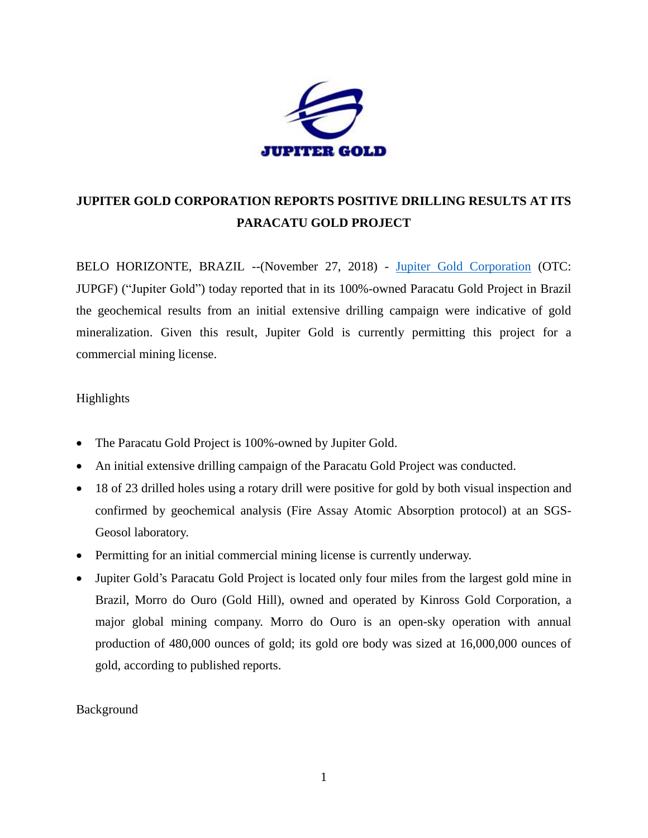

# **JUPITER GOLD CORPORATION REPORTS POSITIVE DRILLING RESULTS AT ITS PARACATU GOLD PROJECT**

BELO HORIZONTE, BRAZIL --(November 27, 2018) - [Jupiter Gold Corporation](http://www.jupitergoldcorp.com/) (OTC: JUPGF) ("Jupiter Gold") today reported that in its 100%-owned Paracatu Gold Project in Brazil the geochemical results from an initial extensive drilling campaign were indicative of gold mineralization. Given this result, Jupiter Gold is currently permitting this project for a commercial mining license.

## Highlights

- The Paracatu Gold Project is 100%-owned by Jupiter Gold.
- An initial extensive drilling campaign of the Paracatu Gold Project was conducted.
- 18 of 23 drilled holes using a rotary drill were positive for gold by both visual inspection and confirmed by geochemical analysis (Fire Assay Atomic Absorption protocol) at an SGS-Geosol laboratory.
- Permitting for an initial commercial mining license is currently underway.
- Jupiter Gold's Paracatu Gold Project is located only four miles from the largest gold mine in Brazil, Morro do Ouro (Gold Hill), owned and operated by Kinross Gold Corporation, a major global mining company. Morro do Ouro is an open-sky operation with annual production of 480,000 ounces of gold; its gold ore body was sized at 16,000,000 ounces of gold, according to published reports.

## Background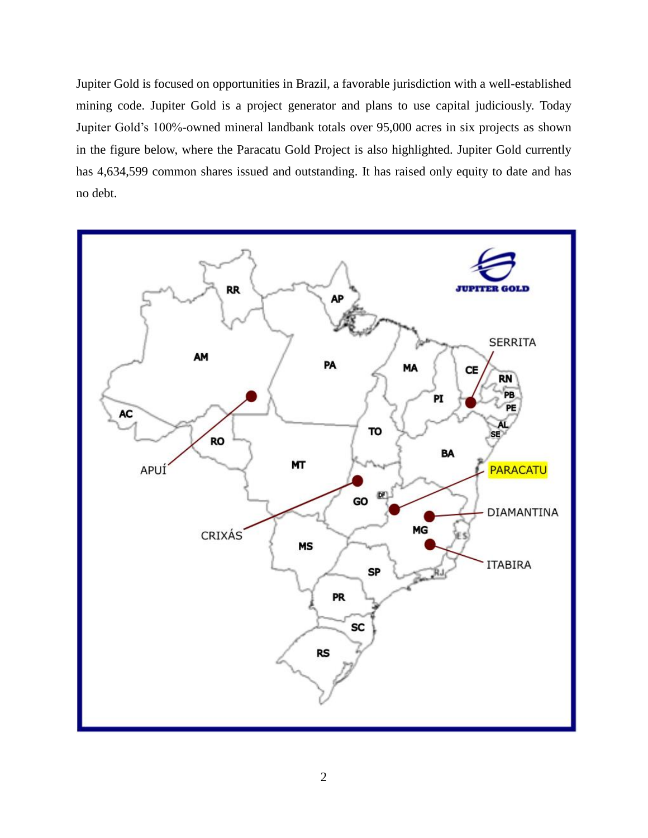Jupiter Gold is focused on opportunities in Brazil, a favorable jurisdiction with a well-established mining code. Jupiter Gold is a project generator and plans to use capital judiciously. Today Jupiter Gold's 100%-owned mineral landbank totals over 95,000 acres in six projects as shown in the figure below, where the Paracatu Gold Project is also highlighted. Jupiter Gold currently has 4,634,599 common shares issued and outstanding. It has raised only equity to date and has no debt.

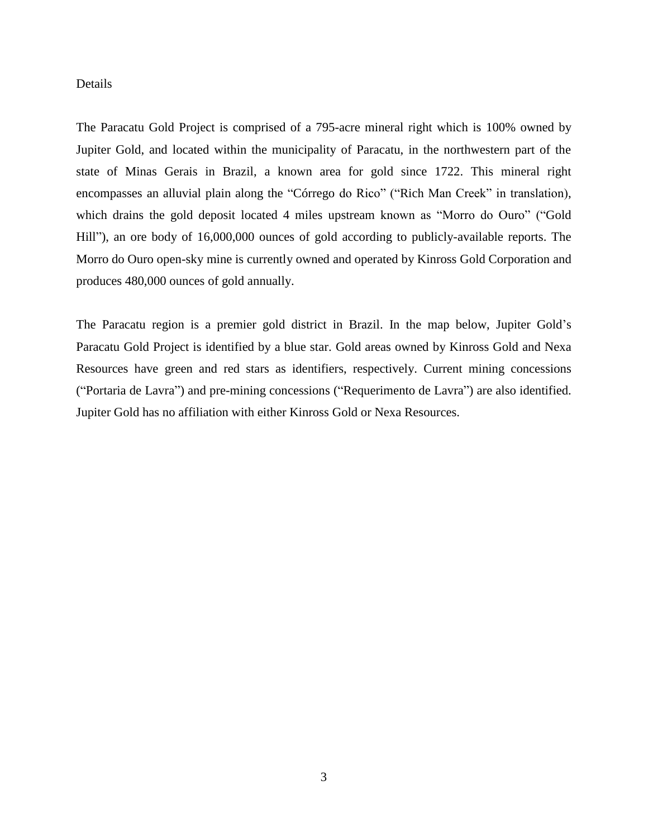### Details

The Paracatu Gold Project is comprised of a 795-acre mineral right which is 100% owned by Jupiter Gold, and located within the municipality of Paracatu, in the northwestern part of the state of Minas Gerais in Brazil, a known area for gold since 1722. This mineral right encompasses an alluvial plain along the "Córrego do Rico" ("Rich Man Creek" in translation), which drains the gold deposit located 4 miles upstream known as "Morro do Ouro" ("Gold Hill"), an ore body of 16,000,000 ounces of gold according to publicly-available reports. The Morro do Ouro open-sky mine is currently owned and operated by Kinross Gold Corporation and produces 480,000 ounces of gold annually.

The Paracatu region is a premier gold district in Brazil. In the map below, Jupiter Gold's Paracatu Gold Project is identified by a blue star. Gold areas owned by Kinross Gold and Nexa Resources have green and red stars as identifiers, respectively. Current mining concessions ("Portaria de Lavra") and pre-mining concessions ("Requerimento de Lavra") are also identified. Jupiter Gold has no affiliation with either Kinross Gold or Nexa Resources.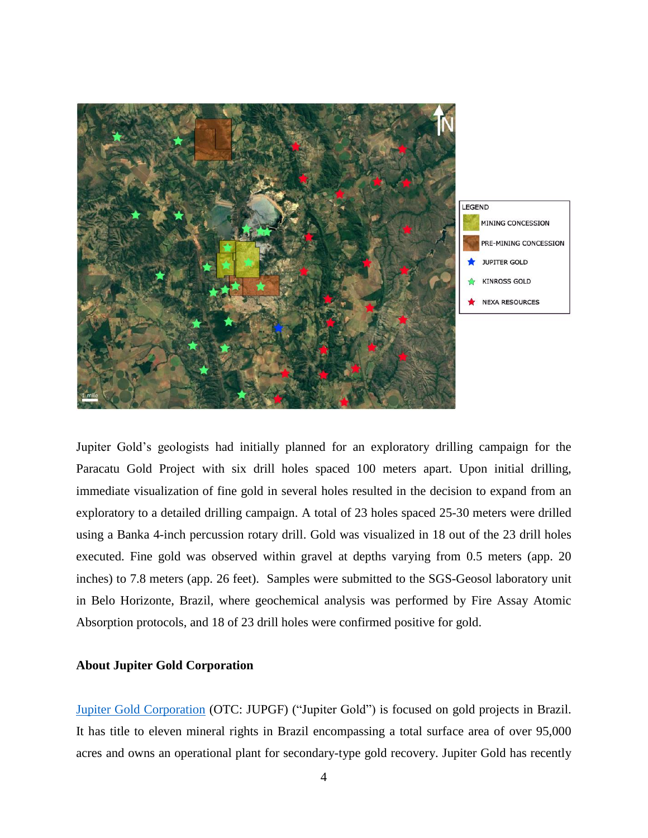

Jupiter Gold's geologists had initially planned for an exploratory drilling campaign for the Paracatu Gold Project with six drill holes spaced 100 meters apart. Upon initial drilling, immediate visualization of fine gold in several holes resulted in the decision to expand from an exploratory to a detailed drilling campaign. A total of 23 holes spaced 25-30 meters were drilled using a Banka 4-inch percussion rotary drill. Gold was visualized in 18 out of the 23 drill holes executed. Fine gold was observed within gravel at depths varying from 0.5 meters (app. 20 inches) to 7.8 meters (app. 26 feet). Samples were submitted to the SGS-Geosol laboratory unit in Belo Horizonte, Brazil, where geochemical analysis was performed by Fire Assay Atomic Absorption protocols, and 18 of 23 drill holes were confirmed positive for gold.

## **About Jupiter Gold Corporation**

[Jupiter Gold Corporation](http://www.jupitergoldcorp.com/) (OTC: JUPGF) ("Jupiter Gold") is focused on gold projects in Brazil. It has title to eleven mineral rights in Brazil encompassing a total surface area of over 95,000 acres and owns an operational plant for secondary-type gold recovery. Jupiter Gold has recently